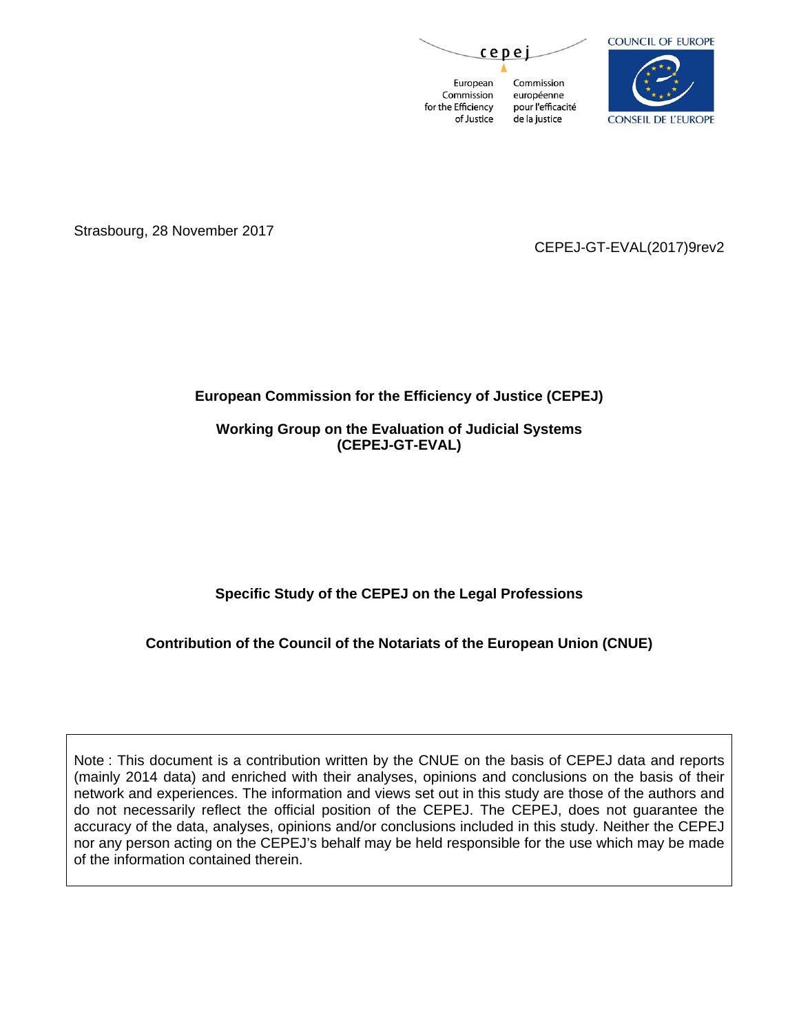cepe

European Commission Commission européenne for the Efficiency pour l'efficacité of Justice de la justice



Strasbourg, 28 November 2017

CEPEJ-GT-EVAL(2017)9rev2

# **European Commission for the Efficiency of Justice (CEPEJ)**

**Working Group on the Evaluation of Judicial Systems (CEPEJ-GT-EVAL)**

**Specific Study of the CEPEJ on the Legal Professions** 

**Contribution of the Council of the Notariats of the European Union (CNUE)** 

Note : This document is a contribution written by the CNUE on the basis of CEPEJ data and reports (mainly 2014 data) and enriched with their analyses, opinions and conclusions on the basis of their network and experiences. The information and views set out in this study are those of the authors and do not necessarily reflect the official position of the CEPEJ. The CEPEJ, does not guarantee the accuracy of the data, analyses, opinions and/or conclusions included in this study. Neither the CEPEJ nor any person acting on the CEPEJ's behalf may be held responsible for the use which may be made of the information contained therein.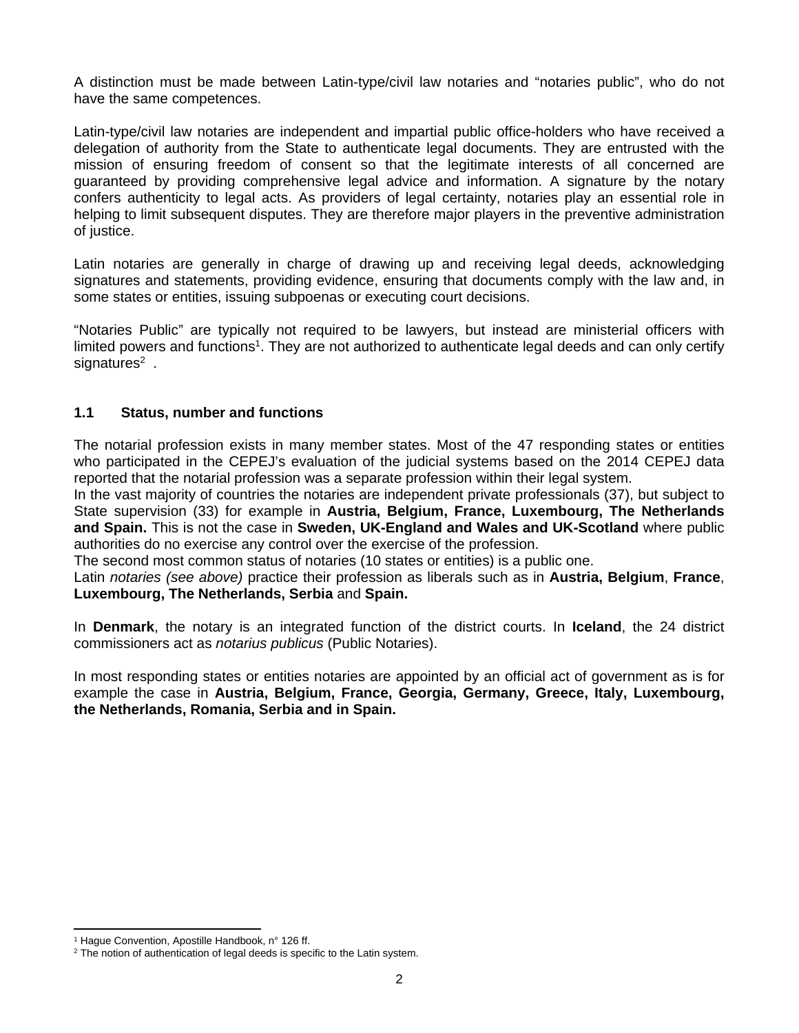A distinction must be made between Latin-type/civil law notaries and "notaries public", who do not have the same competences.

Latin-type/civil law notaries are independent and impartial public office-holders who have received a delegation of authority from the State to authenticate legal documents. They are entrusted with the mission of ensuring freedom of consent so that the legitimate interests of all concerned are guaranteed by providing comprehensive legal advice and information. A signature by the notary confers authenticity to legal acts. As providers of legal certainty, notaries play an essential role in helping to limit subsequent disputes. They are therefore major players in the preventive administration of justice.

Latin notaries are generally in charge of drawing up and receiving legal deeds, acknowledging signatures and statements, providing evidence, ensuring that documents comply with the law and, in some states or entities, issuing subpoenas or executing court decisions.

"Notaries Public" are typically not required to be lawyers, but instead are ministerial officers with limited powers and functions<sup>1</sup>. They are not authorized to authenticate legal deeds and can only certify signatures<sup>2</sup>.

# **1.1 Status, number and functions**

The notarial profession exists in many member states. Most of the 47 responding states or entities who participated in the CEPEJ's evaluation of the judicial systems based on the 2014 CEPEJ data reported that the notarial profession was a separate profession within their legal system.

In the vast majority of countries the notaries are independent private professionals (37), but subject to State supervision (33) for example in **Austria, Belgium, France, Luxembourg, The Netherlands and Spain.** This is not the case in **Sweden, UK-England and Wales and UK-Scotland** where public authorities do no exercise any control over the exercise of the profession.

The second most common status of notaries (10 states or entities) is a public one.

Latin *notaries (see above)* practice their profession as liberals such as in **Austria, Belgium**, **France**, **Luxembourg, The Netherlands, Serbia** and **Spain.** 

In **Denmark**, the notary is an integrated function of the district courts. In **Iceland**, the 24 district commissioners act as *notarius publicus* (Public Notaries).

In most responding states or entities notaries are appointed by an official act of government as is for example the case in **Austria, Belgium, France, Georgia, Germany, Greece, Italy, Luxembourg, the Netherlands, Romania, Serbia and in Spain.**

<sup>&</sup>lt;sup>1</sup> Hague Convention, Apostille Handbook, n° 126 ff.

<sup>&</sup>lt;sup>2</sup> The notion of authentication of legal deeds is specific to the Latin system.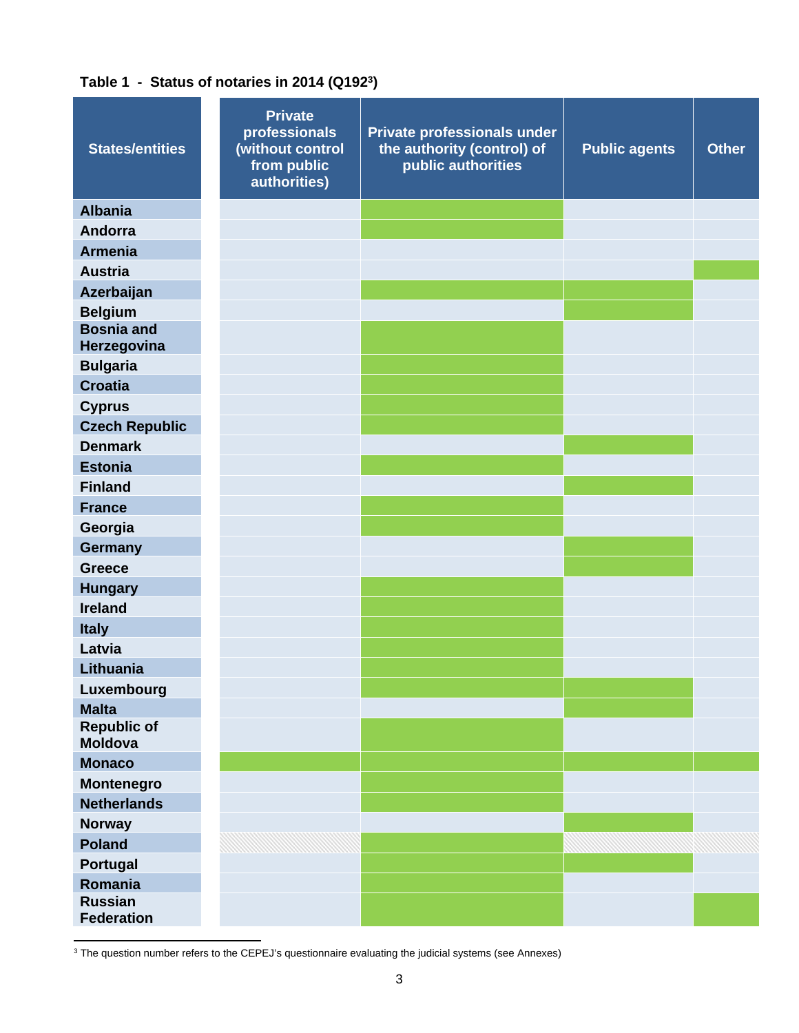# **Table 1 - Status of notaries in 2014 (Q192<sup>3</sup> )**

| <b>States/entities</b>              | <b>Private</b><br>professionals<br>(without control<br>from public<br>authorities) | Private professionals under<br>the authority (control) of<br>public authorities | <b>Public agents</b> | <b>Other</b> |
|-------------------------------------|------------------------------------------------------------------------------------|---------------------------------------------------------------------------------|----------------------|--------------|
| <b>Albania</b>                      |                                                                                    |                                                                                 |                      |              |
| Andorra                             |                                                                                    |                                                                                 |                      |              |
| <b>Armenia</b>                      |                                                                                    |                                                                                 |                      |              |
| <b>Austria</b>                      |                                                                                    |                                                                                 |                      |              |
| Azerbaijan                          |                                                                                    |                                                                                 |                      |              |
| <b>Belgium</b>                      |                                                                                    |                                                                                 |                      |              |
| <b>Bosnia and</b>                   |                                                                                    |                                                                                 |                      |              |
| Herzegovina                         |                                                                                    |                                                                                 |                      |              |
| <b>Bulgaria</b>                     |                                                                                    |                                                                                 |                      |              |
| <b>Croatia</b>                      |                                                                                    |                                                                                 |                      |              |
| <b>Cyprus</b>                       |                                                                                    |                                                                                 |                      |              |
| <b>Czech Republic</b>               |                                                                                    |                                                                                 |                      |              |
| <b>Denmark</b>                      |                                                                                    |                                                                                 |                      |              |
| <b>Estonia</b>                      |                                                                                    |                                                                                 |                      |              |
| <b>Finland</b>                      |                                                                                    |                                                                                 |                      |              |
| <b>France</b>                       |                                                                                    |                                                                                 |                      |              |
| Georgia                             |                                                                                    |                                                                                 |                      |              |
| Germany                             |                                                                                    |                                                                                 |                      |              |
| <b>Greece</b>                       |                                                                                    |                                                                                 |                      |              |
| <b>Hungary</b><br><b>Ireland</b>    |                                                                                    |                                                                                 |                      |              |
|                                     |                                                                                    |                                                                                 |                      |              |
| <b>Italy</b><br>Latvia              |                                                                                    |                                                                                 |                      |              |
| Lithuania                           |                                                                                    |                                                                                 |                      |              |
|                                     |                                                                                    |                                                                                 |                      |              |
| Luxembourg<br><b>Malta</b>          |                                                                                    |                                                                                 |                      |              |
| <b>Republic of</b><br>Moldova       |                                                                                    |                                                                                 |                      |              |
| <b>Monaco</b>                       |                                                                                    |                                                                                 |                      |              |
| Montenegro                          |                                                                                    |                                                                                 |                      |              |
| <b>Netherlands</b>                  |                                                                                    |                                                                                 |                      |              |
| <b>Norway</b>                       |                                                                                    |                                                                                 |                      |              |
| <b>Poland</b>                       |                                                                                    |                                                                                 |                      |              |
| Portugal                            |                                                                                    |                                                                                 |                      |              |
| Romania                             |                                                                                    |                                                                                 |                      |              |
| <b>Russian</b><br><b>Federation</b> |                                                                                    |                                                                                 |                      |              |

3 The question number refers to the CEPEJ's questionnaire evaluating the judicial systems (see Annexes)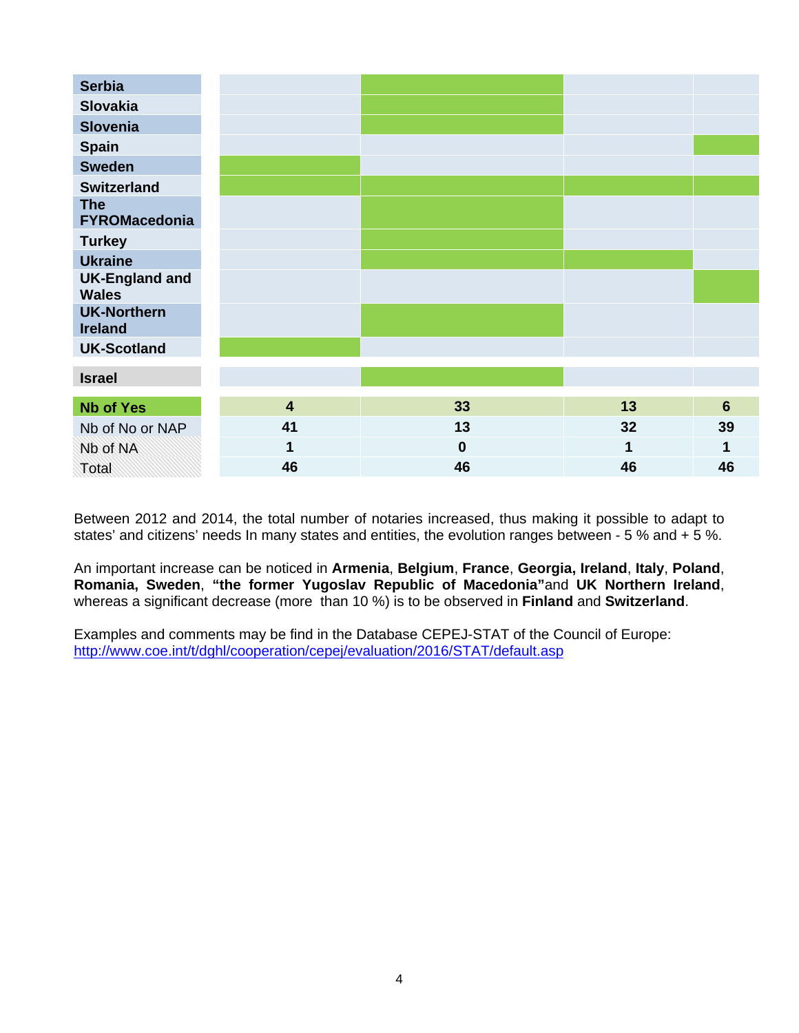| <b>Serbia</b>                         |                         |          |    |                |
|---------------------------------------|-------------------------|----------|----|----------------|
| <b>Slovakia</b>                       |                         |          |    |                |
| <b>Slovenia</b>                       |                         |          |    |                |
| Spain                                 |                         |          |    |                |
| <b>Sweden</b>                         |                         |          |    |                |
| <b>Switzerland</b>                    |                         |          |    |                |
| <b>The</b><br><b>FYROMacedonia</b>    |                         |          |    |                |
| <b>Turkey</b>                         |                         |          |    |                |
| <b>Ukraine</b>                        |                         |          |    |                |
| <b>UK-England and</b><br><b>Wales</b> |                         |          |    |                |
| <b>UK-Northern</b><br><b>Ireland</b>  |                         |          |    |                |
| <b>UK-Scotland</b>                    |                         |          |    |                |
| <b>Israel</b>                         |                         |          |    |                |
| <b>Nb of Yes</b>                      | $\overline{\mathbf{4}}$ | 33       | 13 | $6\phantom{1}$ |
| Nb of No or NAP                       | 41                      | 13       | 32 | 39             |
| Nb of NA                              | 1                       | $\bf{0}$ | 1  | 1              |
| Total                                 | 46                      | 46       | 46 | 46             |

Between 2012 and 2014, the total number of notaries increased, thus making it possible to adapt to states' and citizens' needs In many states and entities, the evolution ranges between - 5 % and + 5 %.

An important increase can be noticed in **Armenia**, **Belgium**, **France**, **Georgia, Ireland**, **Italy**, **Poland**, **Romania, Sweden**, **"the former Yugoslav Republic of Macedonia"**and **UK Northern Ireland**, whereas a significant decrease (more than 10 %) is to be observed in **Finland** and **Switzerland**.

Examples and comments may be find in the Database CEPEJ-STAT of the Council of Europe: <http://www.coe.int/t/dghl/cooperation/cepej/evaluation/2016/STAT/default.asp>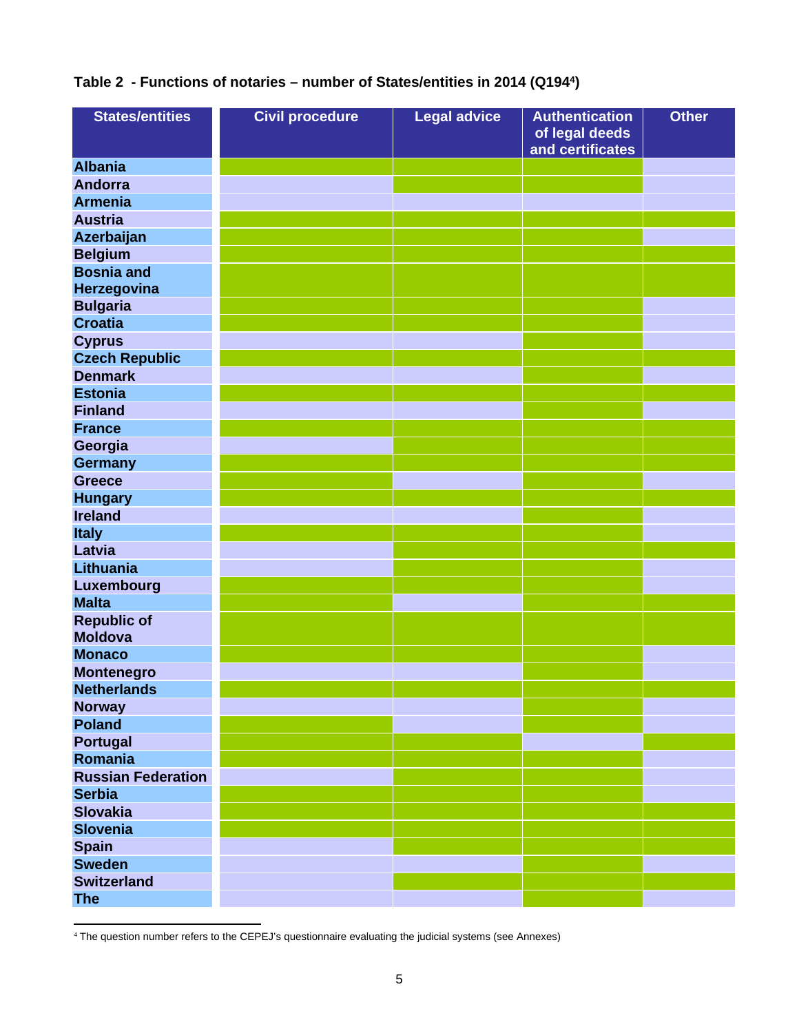# **Table 2 - Functions of notaries – number of States/entities in 2014 (Q194<sup>4</sup> )**

| <b>States/entities</b>               | <b>Civil procedure</b> | <b>Legal advice</b> | <b>Authentication</b><br>of legal deeds<br>and certificates | <b>Other</b> |
|--------------------------------------|------------------------|---------------------|-------------------------------------------------------------|--------------|
| <b>Albania</b>                       |                        |                     |                                                             |              |
| <b>Andorra</b>                       |                        |                     |                                                             |              |
| <b>Armenia</b>                       |                        |                     |                                                             |              |
| <b>Austria</b>                       |                        |                     |                                                             |              |
| Azerbaijan                           |                        |                     |                                                             |              |
| <b>Belgium</b>                       |                        |                     |                                                             |              |
| <b>Bosnia and</b>                    |                        |                     |                                                             |              |
| Herzegovina                          |                        |                     |                                                             |              |
| <b>Bulgaria</b>                      |                        |                     |                                                             |              |
| <b>Croatia</b>                       |                        |                     |                                                             |              |
| <b>Cyprus</b>                        |                        |                     |                                                             |              |
| <b>Czech Republic</b>                |                        |                     |                                                             |              |
| <b>Denmark</b>                       |                        |                     |                                                             |              |
| <b>Estonia</b>                       |                        |                     |                                                             |              |
| <b>Finland</b>                       |                        |                     |                                                             |              |
| <b>France</b>                        |                        |                     |                                                             |              |
| Georgia                              |                        |                     |                                                             |              |
| <b>Germany</b>                       |                        |                     |                                                             |              |
| <b>Greece</b>                        |                        |                     |                                                             |              |
| <b>Hungary</b>                       |                        |                     |                                                             |              |
| <b>Ireland</b>                       |                        |                     |                                                             |              |
| <b>Italy</b>                         |                        |                     |                                                             |              |
| Latvia                               |                        |                     |                                                             |              |
| Lithuania                            |                        |                     |                                                             |              |
| <b>Luxembourg</b>                    |                        |                     |                                                             |              |
| <b>Malta</b>                         |                        |                     |                                                             |              |
| <b>Republic of</b><br><b>Moldova</b> |                        |                     |                                                             |              |
| <b>Monaco</b>                        |                        |                     |                                                             |              |
| <b>Montenegro</b>                    |                        |                     |                                                             |              |
| <b>Netherlands</b>                   |                        |                     |                                                             |              |
| <b>Norway</b>                        |                        |                     |                                                             |              |
| <b>Poland</b>                        |                        |                     |                                                             |              |
| <b>Portugal</b>                      |                        |                     |                                                             |              |
| Romania                              |                        |                     |                                                             |              |
| <b>Russian Federation</b>            |                        |                     |                                                             |              |
| <b>Serbia</b>                        |                        |                     |                                                             |              |
| <b>Slovakia</b>                      |                        |                     |                                                             |              |
| <b>Slovenia</b>                      |                        |                     |                                                             |              |
| <b>Spain</b>                         |                        |                     |                                                             |              |
| <b>Sweden</b>                        |                        |                     |                                                             |              |
| <b>Switzerland</b>                   |                        |                     |                                                             |              |
| <b>The</b>                           |                        |                     |                                                             |              |

<sup>4</sup> The question number refers to the CEPEJ's questionnaire evaluating the judicial systems (see Annexes)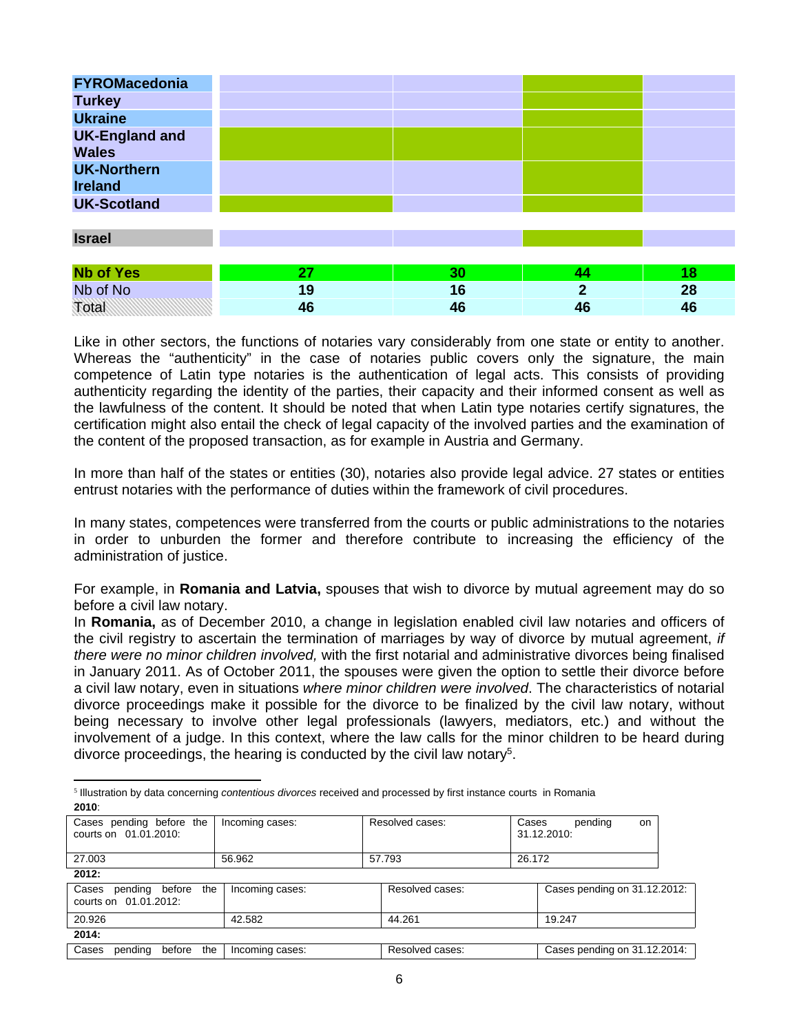| <b>FYROMacedonia</b>                  |    |    |                |    |
|---------------------------------------|----|----|----------------|----|
| <b>Turkey</b>                         |    |    |                |    |
| <b>Ukraine</b>                        |    |    |                |    |
| <b>UK-England and</b><br><b>Wales</b> |    |    |                |    |
| <b>UK-Northern</b><br><b>Ireland</b>  |    |    |                |    |
| <b>UK-Scotland</b>                    |    |    |                |    |
|                                       |    |    |                |    |
| <b>Israel</b>                         |    |    |                |    |
|                                       |    |    |                |    |
| <b>Nb of Yes</b>                      | 27 | 30 | 44             | 18 |
| Nb of No                              | 19 | 16 | $\overline{2}$ | 28 |
| Total                                 | 46 | 46 | 46             | 46 |

Like in other sectors, the functions of notaries vary considerably from one state or entity to another. Whereas the "authenticity" in the case of notaries public covers only the signature, the main competence of Latin type notaries is the authentication of legal acts. This consists of providing authenticity regarding the identity of the parties, their capacity and their informed consent as well as the lawfulness of the content. It should be noted that when Latin type notaries certify signatures, the certification might also entail the check of legal capacity of the involved parties and the examination of the content of the proposed transaction, as for example in Austria and Germany.

In more than half of the states or entities (30), notaries also provide legal advice. 27 states or entities entrust notaries with the performance of duties within the framework of civil procedures.

In many states, competences were transferred from the courts or public administrations to the notaries in order to unburden the former and therefore contribute to increasing the efficiency of the administration of justice.

For example, in **Romania and Latvia,** spouses that wish to divorce by mutual agreement may do so before a civil law notary.

In **Romania,** as of December 2010, a change in legislation enabled civil law notaries and officers of the civil registry to ascertain the termination of marriages by way of divorce by mutual agreement, *if there were no minor children involved,* with the first notarial and administrative divorces being finalised in January 2011. As of October 2011, the spouses were given the option to settle their divorce before a civil law notary, even in situations *where minor children were involved*. The characteristics of notarial divorce proceedings make it possible for the divorce to be finalized by the civil law notary, without being necessary to involve other legal professionals (lawyers, mediators, etc.) and without the involvement of a judge. In this context, where the law calls for the minor children to be heard during divorce proceedings, the hearing is conducted by the civil law notary<sup>5</sup>.

5 Illustration by data concerning *contentious divorces* received and processed by first instance courts in Romania **2010**:

| Cases pending before the<br>courts on 01.01.2010:    | Incoming cases: | Resolved cases: | Cases<br>31.12.2010: | pendina                      | on |
|------------------------------------------------------|-----------------|-----------------|----------------------|------------------------------|----|
| 27,003                                               | 56.962          | 57.793          | 26.172               |                              |    |
| 2012:                                                |                 |                 |                      |                              |    |
| pending before the<br>Cases<br>courts on 01.01.2012: | Incoming cases: | Resolved cases: |                      | Cases pending on 31.12.2012: |    |

| 20.926 |         |        |     | 42.582          | 44.261          | 19.247                       |
|--------|---------|--------|-----|-----------------|-----------------|------------------------------|
|        |         |        |     |                 |                 |                              |
| 2014:  |         |        |     |                 |                 |                              |
| Cases  | pending | before | the | Incoming cases: | Resolved cases: | Cases pending on 31.12.2014: |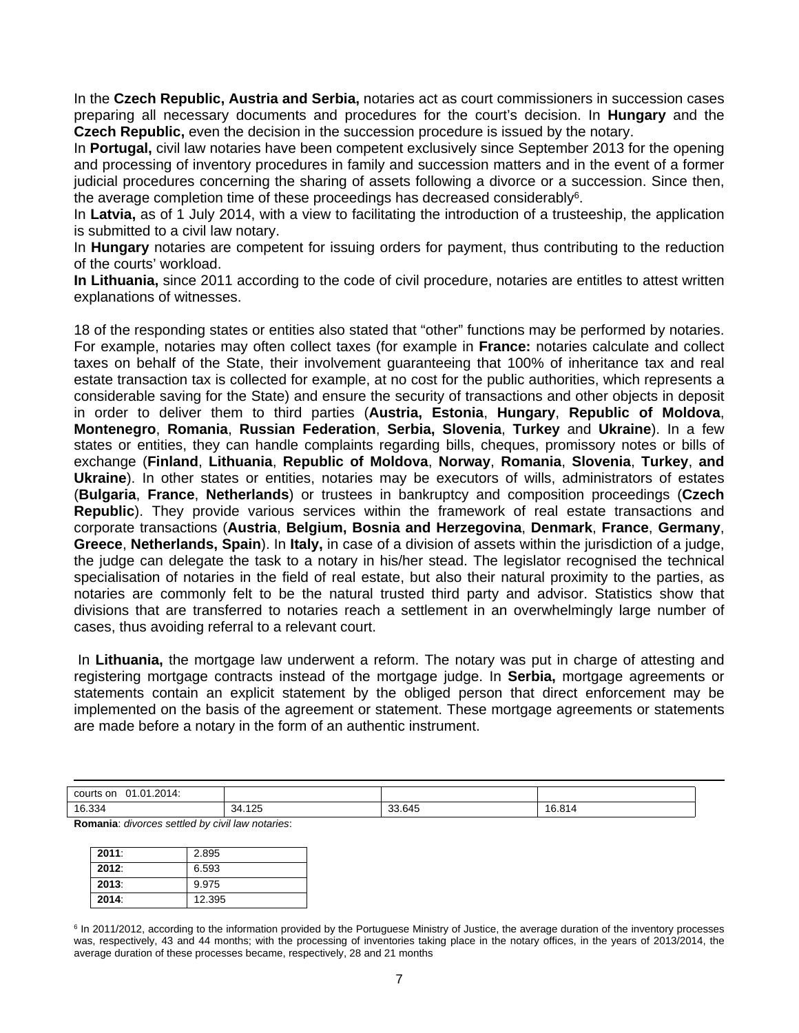In the **Czech Republic, Austria and Serbia,** notaries act as court commissioners in succession cases preparing all necessary documents and procedures for the court's decision. In **Hungary** and the **Czech Republic,** even the decision in the succession procedure is issued by the notary.

In **Portugal,** civil law notaries have been competent exclusively since September 2013 for the opening and processing of inventory procedures in family and succession matters and in the event of a former judicial procedures concerning the sharing of assets following a divorce or a succession. Since then, the average completion time of these proceedings has decreased considerably<sup>6</sup>.

In **Latvia,** as of 1 July 2014, with a view to facilitating the introduction of a trusteeship, the application is submitted to a civil law notary.

In **Hungary** notaries are competent for issuing orders for payment, thus contributing to the reduction of the courts' workload.

**In Lithuania,** since 2011 according to the code of civil procedure, notaries are entitles to attest written explanations of witnesses.

18 of the responding states or entities also stated that "other" functions may be performed by notaries. For example, notaries may often collect taxes (for example in **France:** notaries calculate and collect taxes on behalf of the State, their involvement guaranteeing that 100% of inheritance tax and real estate transaction tax is collected for example, at no cost for the public authorities, which represents a considerable saving for the State) and ensure the security of transactions and other objects in deposit in order to deliver them to third parties (**Austria, Estonia**, **Hungary**, **Republic of Moldova**, **Montenegro**, **Romania**, **Russian Federation**, **Serbia, Slovenia**, **Turkey** and **Ukraine**). In a few states or entities, they can handle complaints regarding bills, cheques, promissory notes or bills of exchange (**Finland**, **Lithuania**, **Republic of Moldova**, **Norway**, **Romania**, **Slovenia**, **Turkey**, **and Ukraine**). In other states or entities, notaries may be executors of wills, administrators of estates (**Bulgaria**, **France**, **Netherlands**) or trustees in bankruptcy and composition proceedings (**Czech Republic**). They provide various services within the framework of real estate transactions and corporate transactions (**Austria**, **Belgium, Bosnia and Herzegovina**, **Denmark**, **France**, **Germany**, **Greece**, **Netherlands, Spain**). In **Italy,** in case of a division of assets within the jurisdiction of a judge, the judge can delegate the task to a notary in his/her stead. The legislator recognised the technical specialisation of notaries in the field of real estate, but also their natural proximity to the parties, as notaries are commonly felt to be the natural trusted third party and advisor. Statistics show that divisions that are transferred to notaries reach a settlement in an overwhelmingly large number of cases, thus avoiding referral to a relevant court.

 In **Lithuania,** the mortgage law underwent a reform. The notary was put in charge of attesting and registering mortgage contracts instead of the mortgage judge. In **Serbia,** mortgage agreements or statements contain an explicit statement by the obliged person that direct enforcement may be implemented on the basis of the agreement or statement. These mortgage agreements or statements are made before a notary in the form of an authentic instrument.

| 01.01.2014:<br>courts on |               |                  |        |
|--------------------------|---------------|------------------|--------|
| 16.334                   | イウド<br>34.125 | 33.645<br>$\sim$ | 16.814 |

**Romania**: *divorces settled by civil law notaries*:

| 2011: | 2.895  |
|-------|--------|
| 2012. | 6.593  |
| 2013. | 9.975  |
| 2014. | 12.395 |

<sup>&</sup>lt;sup>6</sup> In 2011/2012, according to the information provided by the Portuguese Ministry of Justice, the average duration of the inventory processes was, respectively, 43 and 44 months; with the processing of inventories taking place in the notary offices, in the years of 2013/2014, the average duration of these processes became, respectively, 28 and 21 months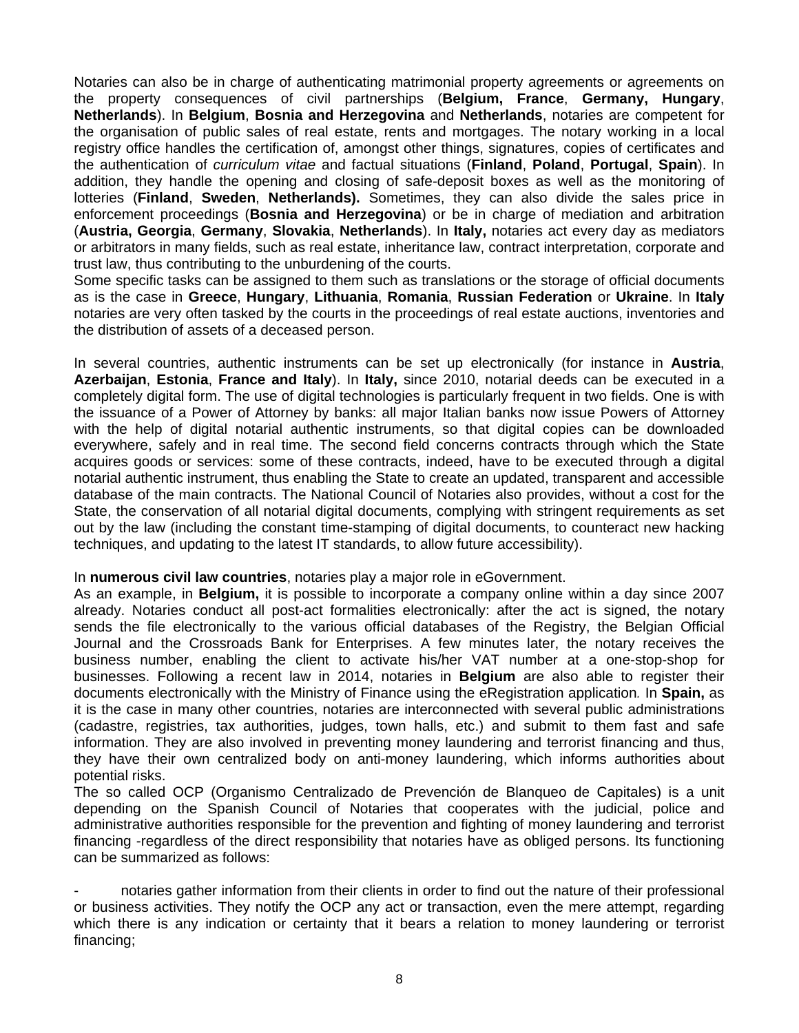Notaries can also be in charge of authenticating matrimonial property agreements or agreements on the property consequences of civil partnerships (**Belgium, France**, **Germany, Hungary**, **Netherlands**). In **Belgium**, **Bosnia and Herzegovina** and **Netherlands**, notaries are competent for the organisation of public sales of real estate, rents and mortgages. The notary working in a local registry office handles the certification of, amongst other things, signatures, copies of certificates and the authentication of *curriculum vitae* and factual situations (**Finland**, **Poland**, **Portugal**, **Spain**). In addition, they handle the opening and closing of safe-deposit boxes as well as the monitoring of lotteries (**Finland**, **Sweden**, **Netherlands).** Sometimes, they can also divide the sales price in enforcement proceedings (**Bosnia and Herzegovina**) or be in charge of mediation and arbitration (**Austria, Georgia**, **Germany**, **Slovakia**, **Netherlands**). In **Italy,** notaries act every day as mediators or arbitrators in many fields, such as real estate, inheritance law, contract interpretation, corporate and trust law, thus contributing to the unburdening of the courts.

Some specific tasks can be assigned to them such as translations or the storage of official documents as is the case in **Greece**, **Hungary**, **Lithuania**, **Romania**, **Russian Federation** or **Ukraine**. In **Italy** notaries are very often tasked by the courts in the proceedings of real estate auctions, inventories and the distribution of assets of a deceased person.

In several countries, authentic instruments can be set up electronically (for instance in **Austria**, **Azerbaijan**, **Estonia**, **France and Italy**). In **Italy,** since 2010, notarial deeds can be executed in a completely digital form. The use of digital technologies is particularly frequent in two fields. One is with the issuance of a Power of Attorney by banks: all major Italian banks now issue Powers of Attorney with the help of digital notarial authentic instruments, so that digital copies can be downloaded everywhere, safely and in real time. The second field concerns contracts through which the State acquires goods or services: some of these contracts, indeed, have to be executed through a digital notarial authentic instrument, thus enabling the State to create an updated, transparent and accessible database of the main contracts. The National Council of Notaries also provides, without a cost for the State, the conservation of all notarial digital documents, complying with stringent requirements as set out by the law (including the constant time-stamping of digital documents, to counteract new hacking techniques, and updating to the latest IT standards, to allow future accessibility).

#### In **numerous civil law countries**, notaries play a major role in eGovernment.

As an example, in **Belgium,** it is possible to incorporate a company online within a day since 2007 already. Notaries conduct all post-act formalities electronically: after the act is signed, the notary sends the file electronically to the various official databases of the Registry, the Belgian Official Journal and the Crossroads Bank for Enterprises. A few minutes later, the notary receives the business number, enabling the client to activate his/her VAT number at a one-stop-shop for businesses. Following a recent law in 2014, notaries in **Belgium** are also able to register their documents electronically with the Ministry of Finance using the eRegistration application*.* In **Spain,** as it is the case in many other countries, notaries are interconnected with several public administrations (cadastre, registries, tax authorities, judges, town halls, etc.) and submit to them fast and safe information. They are also involved in preventing money laundering and terrorist financing and thus, they have their own centralized body on anti-money laundering, which informs authorities about potential risks.

The so called OCP (Organismo Centralizado de Prevención de Blanqueo de Capitales) is a unit depending on the Spanish Council of Notaries that cooperates with the judicial, police and administrative authorities responsible for the prevention and fighting of money laundering and terrorist financing -regardless of the direct responsibility that notaries have as obliged persons. Its functioning can be summarized as follows:

notaries gather information from their clients in order to find out the nature of their professional or business activities. They notify the OCP any act or transaction, even the mere attempt, regarding which there is any indication or certainty that it bears a relation to money laundering or terrorist financing;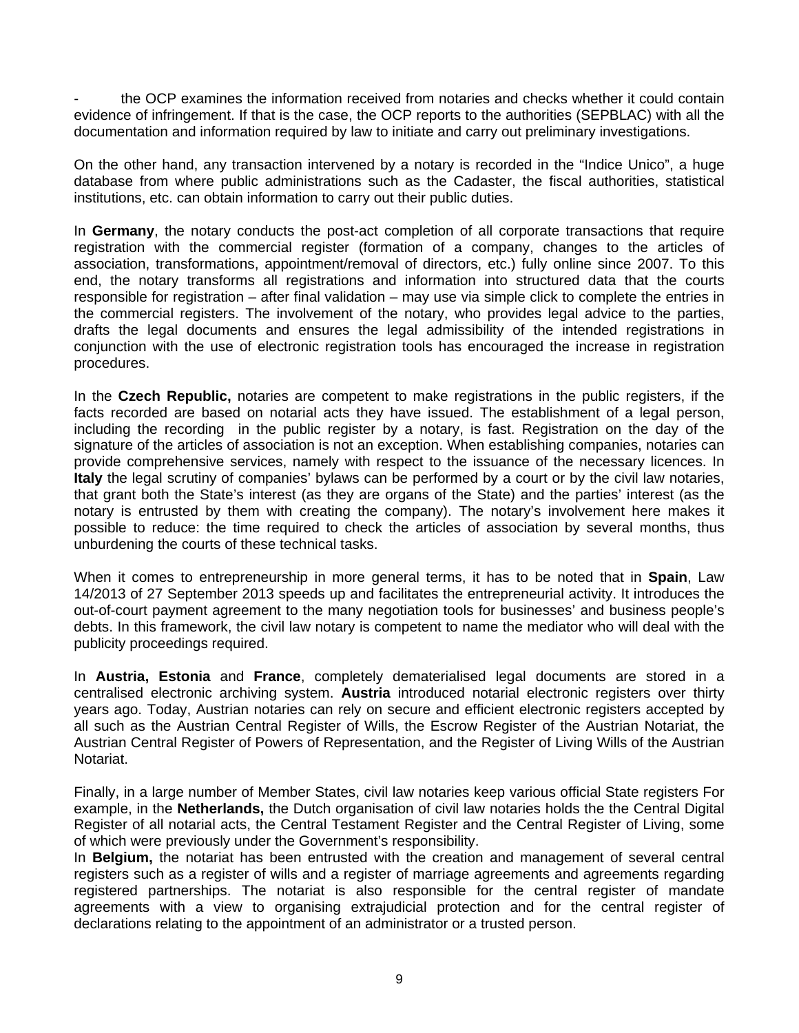the OCP examines the information received from notaries and checks whether it could contain evidence of infringement. If that is the case, the OCP reports to the authorities (SEPBLAC) with all the documentation and information required by law to initiate and carry out preliminary investigations.

On the other hand, any transaction intervened by a notary is recorded in the "Indice Unico", a huge database from where public administrations such as the Cadaster, the fiscal authorities, statistical institutions, etc. can obtain information to carry out their public duties.

In **Germany**, the notary conducts the post-act completion of all corporate transactions that require registration with the commercial register (formation of a company, changes to the articles of association, transformations, appointment/removal of directors, etc.) fully online since 2007. To this end, the notary transforms all registrations and information into structured data that the courts responsible for registration – after final validation – may use via simple click to complete the entries in the commercial registers. The involvement of the notary, who provides legal advice to the parties, drafts the legal documents and ensures the legal admissibility of the intended registrations in conjunction with the use of electronic registration tools has encouraged the increase in registration procedures.

In the **Czech Republic,** notaries are competent to make registrations in the public registers, if the facts recorded are based on notarial acts they have issued. The establishment of a legal person, including the recording in the public register by a notary, is fast. Registration on the day of the signature of the articles of association is not an exception. When establishing companies, notaries can provide comprehensive services, namely with respect to the issuance of the necessary licences. In **Italy** the legal scrutiny of companies' bylaws can be performed by a court or by the civil law notaries, that grant both the State's interest (as they are organs of the State) and the parties' interest (as the notary is entrusted by them with creating the company). The notary's involvement here makes it possible to reduce: the time required to check the articles of association by several months, thus unburdening the courts of these technical tasks.

When it comes to entrepreneurship in more general terms, it has to be noted that in **Spain**, Law 14/2013 of 27 September 2013 speeds up and facilitates the entrepreneurial activity. It introduces the out-of-court payment agreement to the many negotiation tools for businesses' and business people's debts. In this framework, the civil law notary is competent to name the mediator who will deal with the publicity proceedings required.

In **Austria, Estonia** and **France**, completely dematerialised legal documents are stored in a centralised electronic archiving system. **Austria** introduced notarial electronic registers over thirty years ago. Today, Austrian notaries can rely on secure and efficient electronic registers accepted by all such as the Austrian Central Register of Wills, the Escrow Register of the Austrian Notariat, the Austrian Central Register of Powers of Representation, and the Register of Living Wills of the Austrian Notariat.

Finally, in a large number of Member States, civil law notaries keep various official State registers For example, in the **Netherlands,** the Dutch organisation of civil law notaries holds the the Central Digital Register of all notarial acts, the Central Testament Register and the Central Register of Living, some of which were previously under the Government's responsibility.

In **Belgium,** the notariat has been entrusted with the creation and management of several central registers such as a register of wills and a register of marriage agreements and agreements regarding registered partnerships. The notariat is also responsible for the central register of mandate agreements with a view to organising extrajudicial protection and for the central register of declarations relating to the appointment of an administrator or a trusted person.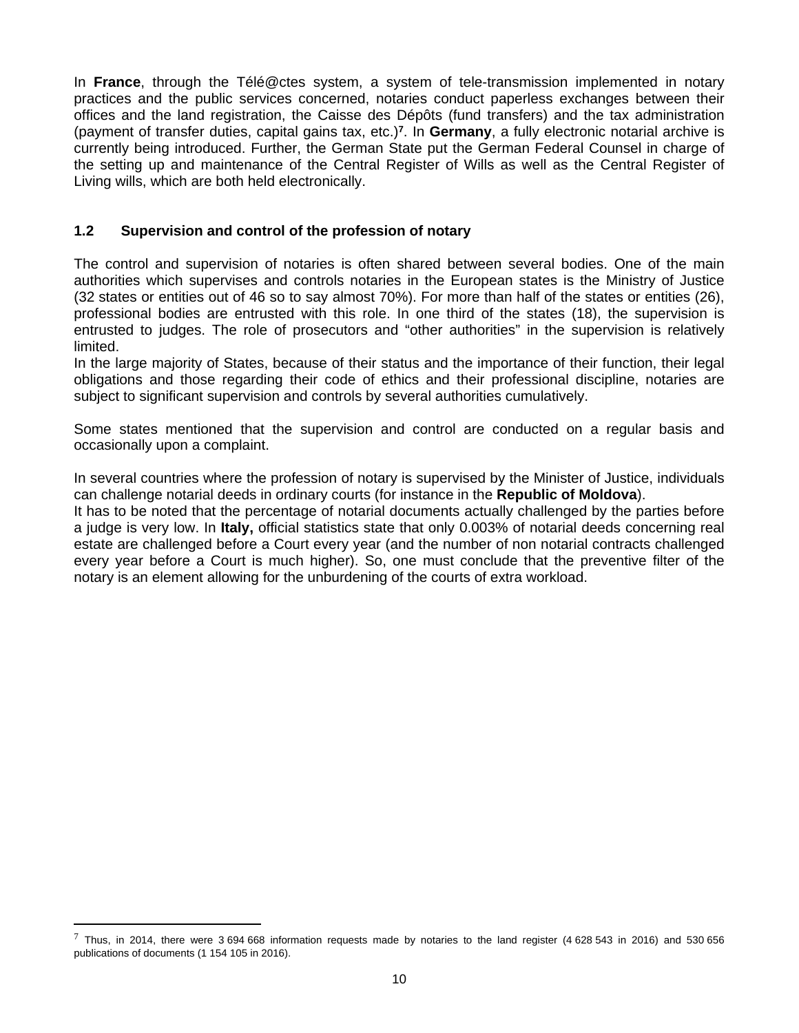In **France**, through the Télé@ctes system, a system of tele-transmission implemented in notary practices and the public services concerned, notaries conduct paperless exchanges between their offices and the land registration, the Caisse des Dépôts (fund transfers) and the tax administration (payment of transfer duties, capital gains tax, etc.)**<sup>7</sup>** . In **Germany**, a fully electronic notarial archive is currently being introduced. Further, the German State put the German Federal Counsel in charge of the setting up and maintenance of the Central Register of Wills as well as the Central Register of Living wills, which are both held electronically.

# **1.2 Supervision and control of the profession of notary**

The control and supervision of notaries is often shared between several bodies. One of the main authorities which supervises and controls notaries in the European states is the Ministry of Justice (32 states or entities out of 46 so to say almost 70%). For more than half of the states or entities (26), professional bodies are entrusted with this role. In one third of the states (18), the supervision is entrusted to judges. The role of prosecutors and "other authorities" in the supervision is relatively limited.

In the large majority of States, because of their status and the importance of their function, their legal obligations and those regarding their code of ethics and their professional discipline, notaries are subject to significant supervision and controls by several authorities cumulatively.

Some states mentioned that the supervision and control are conducted on a regular basis and occasionally upon a complaint.

In several countries where the profession of notary is supervised by the Minister of Justice, individuals can challenge notarial deeds in ordinary courts (for instance in the **Republic of Moldova**).

It has to be noted that the percentage of notarial documents actually challenged by the parties before a judge is very low. In **Italy,** official statistics state that only 0.003% of notarial deeds concerning real estate are challenged before a Court every year (and the number of non notarial contracts challenged every year before a Court is much higher). So, one must conclude that the preventive filter of the notary is an element allowing for the unburdening of the courts of extra workload.

 $^7$  Thus, in 2014, there were 3694 668 information requests made by notaries to the land register (4628 543 in 2016) and 530 656 publications of documents (1 154 105 in 2016).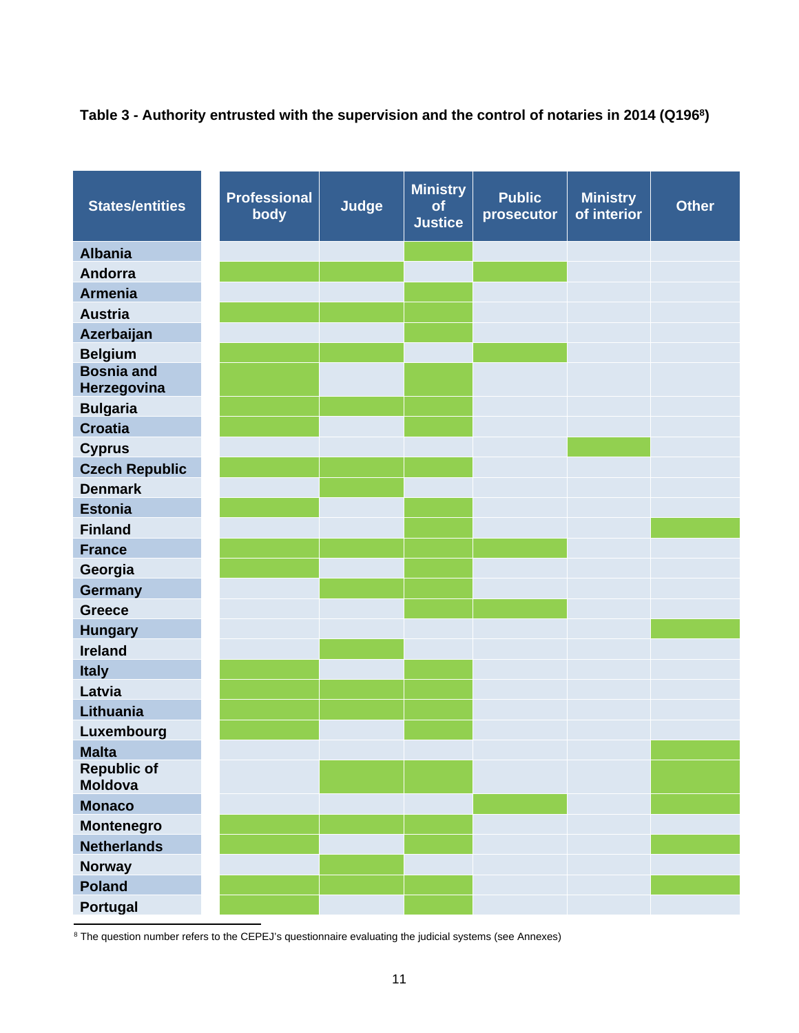# **Table 3 - Authority entrusted with the supervision and the control of notaries in 2014 (Q196<sup>8</sup> )**

| <b>States/entities</b>           | <b>Professional</b><br>body | <b>Judge</b> | <b>Ministry</b><br>of<br><b>Justice</b> | <b>Public</b><br>prosecutor | <b>Ministry</b><br>of interior | <b>Other</b> |
|----------------------------------|-----------------------------|--------------|-----------------------------------------|-----------------------------|--------------------------------|--------------|
| <b>Albania</b>                   |                             |              |                                         |                             |                                |              |
| Andorra                          |                             |              |                                         |                             |                                |              |
| <b>Armenia</b>                   |                             |              |                                         |                             |                                |              |
| <b>Austria</b>                   |                             |              |                                         |                             |                                |              |
| Azerbaijan                       |                             |              |                                         |                             |                                |              |
| <b>Belgium</b>                   |                             |              |                                         |                             |                                |              |
| <b>Bosnia and</b><br>Herzegovina |                             |              |                                         |                             |                                |              |
| <b>Bulgaria</b>                  |                             |              |                                         |                             |                                |              |
| <b>Croatia</b>                   |                             |              |                                         |                             |                                |              |
| <b>Cyprus</b>                    |                             |              |                                         |                             |                                |              |
| <b>Czech Republic</b>            |                             |              |                                         |                             |                                |              |
| <b>Denmark</b>                   |                             |              |                                         |                             |                                |              |
| <b>Estonia</b>                   |                             |              |                                         |                             |                                |              |
| <b>Finland</b>                   |                             |              |                                         |                             |                                |              |
| <b>France</b>                    |                             |              |                                         |                             |                                |              |
| Georgia                          |                             |              |                                         |                             |                                |              |
| Germany                          |                             |              |                                         |                             |                                |              |
| <b>Greece</b>                    |                             |              |                                         |                             |                                |              |
| <b>Hungary</b>                   |                             |              |                                         |                             |                                |              |
| <b>Ireland</b>                   |                             |              |                                         |                             |                                |              |
| <b>Italy</b>                     |                             |              |                                         |                             |                                |              |
| Latvia                           |                             |              |                                         |                             |                                |              |
| Lithuania                        |                             |              |                                         |                             |                                |              |
| Luxembourg                       |                             |              |                                         |                             |                                |              |
| <b>Malta</b>                     |                             |              |                                         |                             |                                |              |
| <b>Republic of</b><br>Moldova    |                             |              |                                         |                             |                                |              |
| <b>Monaco</b>                    |                             |              |                                         |                             |                                |              |
| <b>Montenegro</b>                |                             |              |                                         |                             |                                |              |
| <b>Netherlands</b>               |                             |              |                                         |                             |                                |              |
| Norway                           |                             |              |                                         |                             |                                |              |
| <b>Poland</b>                    |                             |              |                                         |                             |                                |              |
| Portugal                         |                             |              |                                         |                             |                                |              |

<sup>8</sup> The question number refers to the CEPEJ's questionnaire evaluating the judicial systems (see Annexes)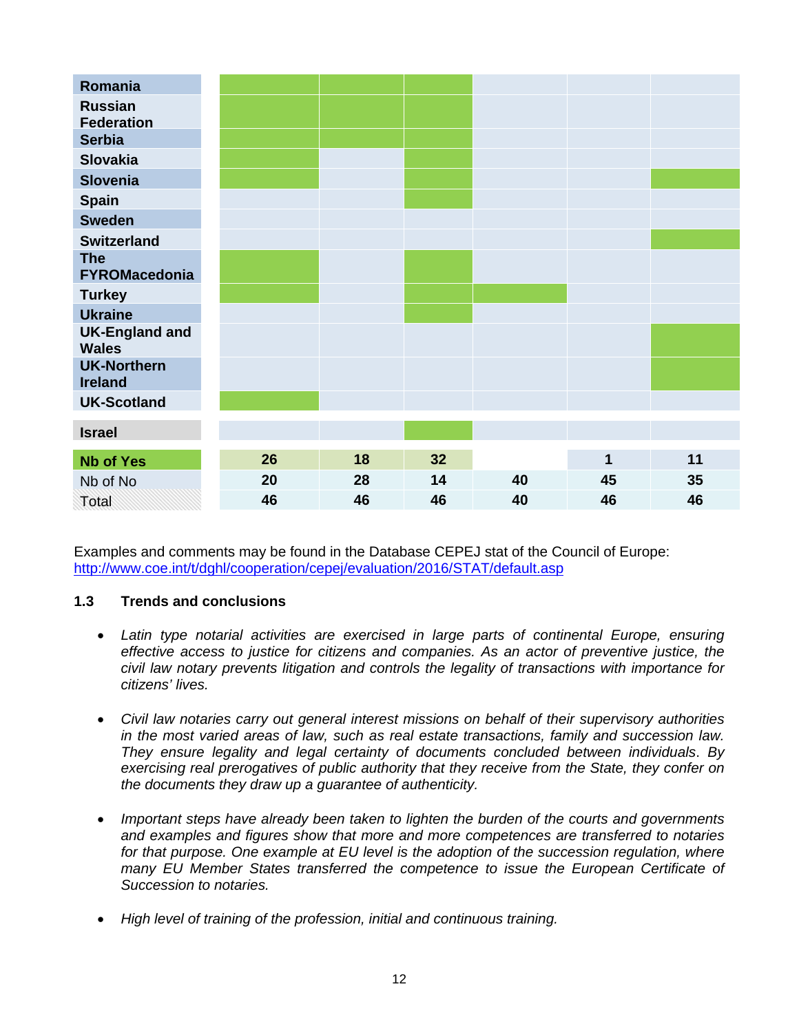| Romania                               |    |    |    |    |                         |    |
|---------------------------------------|----|----|----|----|-------------------------|----|
| <b>Russian</b><br><b>Federation</b>   |    |    |    |    |                         |    |
| <b>Serbia</b>                         |    |    |    |    |                         |    |
| <b>Slovakia</b>                       |    |    |    |    |                         |    |
| <b>Slovenia</b>                       |    |    |    |    |                         |    |
| <b>Spain</b>                          |    |    |    |    |                         |    |
| <b>Sweden</b>                         |    |    |    |    |                         |    |
| <b>Switzerland</b>                    |    |    |    |    |                         |    |
| <b>The</b><br><b>FYROMacedonia</b>    |    |    |    |    |                         |    |
| <b>Turkey</b>                         |    |    |    |    |                         |    |
| <b>Ukraine</b>                        |    |    |    |    |                         |    |
| <b>UK-England and</b><br><b>Wales</b> |    |    |    |    |                         |    |
| <b>UK-Northern</b><br><b>Ireland</b>  |    |    |    |    |                         |    |
| <b>UK-Scotland</b>                    |    |    |    |    |                         |    |
| <b>Israel</b>                         |    |    |    |    |                         |    |
| <b>Nb of Yes</b>                      | 26 | 18 | 32 |    | $\overline{\mathbf{1}}$ | 11 |
| Nb of No                              | 20 | 28 | 14 | 40 | 45                      | 35 |
| Total                                 | 46 | 46 | 46 | 40 | 46                      | 46 |

Examples and comments may be found in the Database CEPEJ stat of the Council of Europe: <http://www.coe.int/t/dghl/cooperation/cepej/evaluation/2016/STAT/default.asp>

# **1.3 Trends and conclusions**

- *Latin type notarial activities are exercised in large parts of continental Europe, ensuring effective access to justice for citizens and companies. As an actor of preventive justice, the civil law notary prevents litigation and controls the legality of transactions with importance for citizens' lives.*
- *Civil law notaries carry out general interest missions on behalf of their supervisory authorities in the most varied areas of law, such as real estate transactions, family and succession law. They ensure legality and legal certainty of documents concluded between individuals*. *By exercising real prerogatives of public authority that they receive from the State, they confer on the documents they draw up a guarantee of authenticity.*
- *Important steps have already been taken to lighten the burden of the courts and governments and examples and figures show that more and more competences are transferred to notaries for that purpose. One example at EU level is the adoption of the succession regulation, where many EU Member States transferred the competence to issue the European Certificate of Succession to notaries.*
- *High level of training of the profession, initial and continuous training.*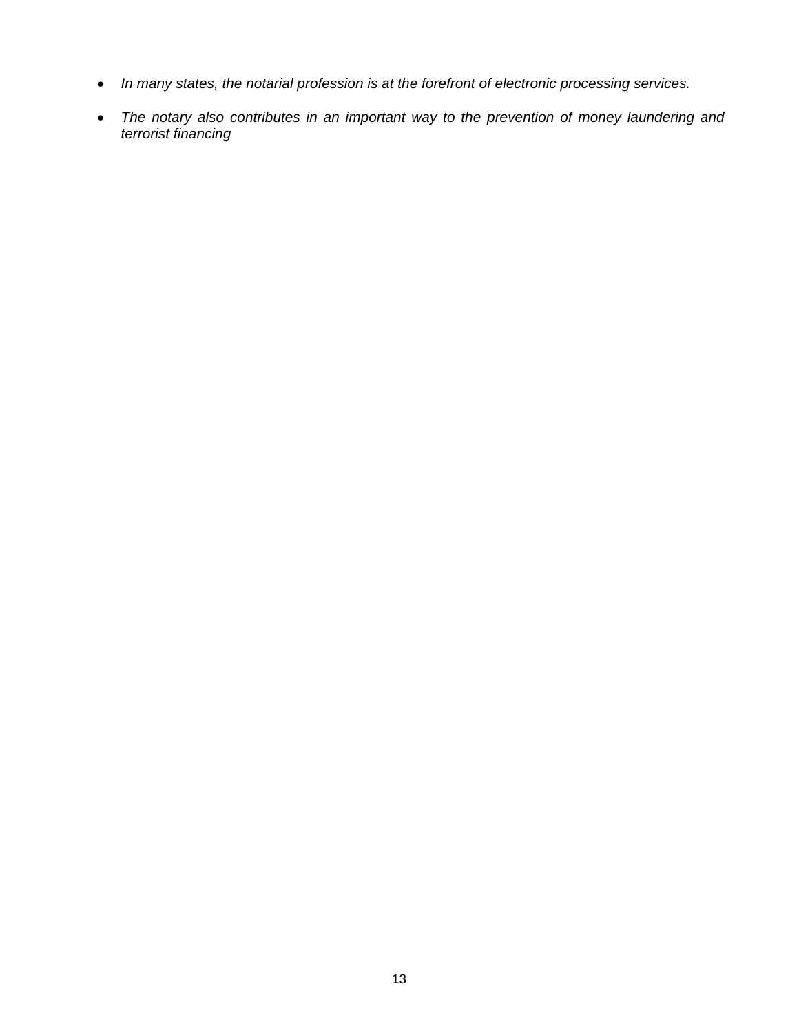- *In many states, the notarial profession is at the forefront of electronic processing services.*
- *The notary also contributes in an important way to the prevention of money laundering and terrorist financing*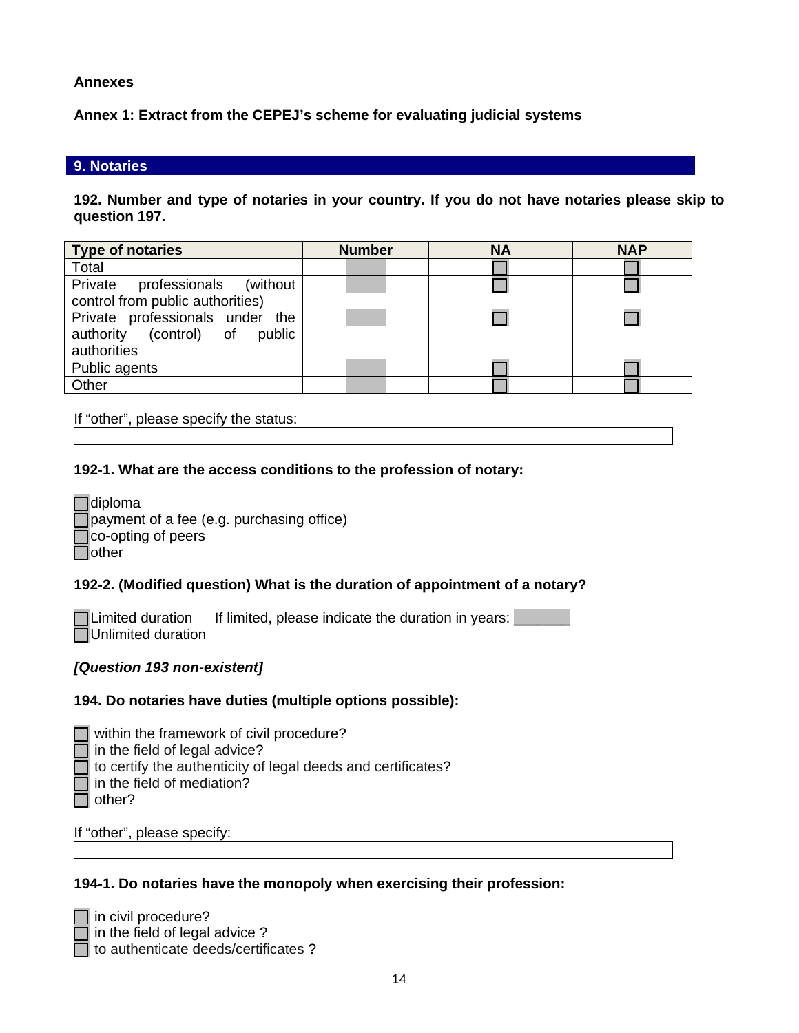### **Annexes**

**Annex 1: Extract from the CEPEJ's scheme for evaluating judicial systems**

#### **9. Notaries**

**192. Number and type of notaries in your country. If you do not have notaries please skip to question 197.**

| <b>Type of notaries</b>             | <b>Number</b> | <b>NA</b> | <b>NAP</b> |
|-------------------------------------|---------------|-----------|------------|
| Total                               |               |           |            |
| Private<br>professionals (without   |               |           |            |
| control from public authorities)    |               |           |            |
| Private professionals under<br>the  |               |           |            |
| (control) of<br>authority<br>public |               |           |            |
| authorities                         |               |           |            |
| Public agents                       |               |           |            |
| Other                               |               |           |            |

If "other", please specify the status:

**192-1. What are the access conditions to the profession of notary:** 

| Tdiploma                                  |
|-------------------------------------------|
| payment of a fee (e.g. purchasing office) |
| co-opting of peers                        |
| <b>l</b> lother                           |

# **192-2. (Modified question) What is the duration of appointment of a notary?**

 $\Box$  Limited duration If limited, please indicate the duration in years: **NUnlimited duration** 

# *[Question 193 non-existent]*

#### **194. Do notaries have duties (multiple options possible):**

| $\Box$ within the framework of civil procedure?                     |
|---------------------------------------------------------------------|
| $\Box$ in the field of legal advice?                                |
| $\Box$ to certify the authenticity of legal deeds and certificates? |
| $\Box$ in the field of mediation?                                   |
| $\Box$ other?                                                       |

If "other", please specify:

#### **194-1. Do notaries have the monopoly when exercising their profession:**

 $\Box$  in civil procedure?  $\overline{\mathsf{I}}$  in the field of legal advice ? to authenticate deeds/certificates ?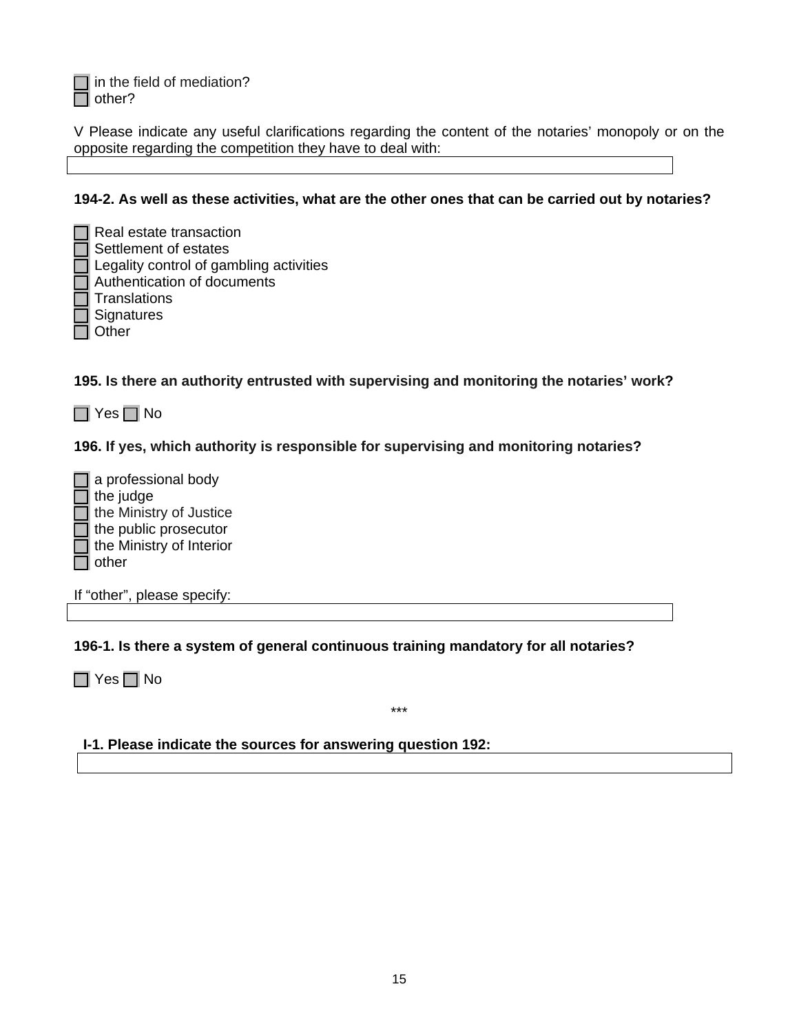$\Box$  in the field of mediation?  $\Box$  other?

V Please indicate any useful clarifications regarding the content of the notaries' monopoly or on the opposite regarding the competition they have to deal with:

### **194-2. As well as these activities, what are the other ones that can be carried out by notaries?**

 $\Box$  Real estate transaction  $\sqcap$  Settlement of estates  $\Box$  Legality control of gambling activities  $\Box$  Authentication of documents  $\Box$  Translations Signatures  $\Box$  Other

**195. Is there an authority entrusted with supervising and monitoring the notaries' work?** 

 $\Box$  Yes  $\Box$  No

**196. If yes, which authority is responsible for supervising and monitoring notaries?** 

 $\Box$  a professional body  $\overline{\mathsf{I}}$  the judge  $\overline{\phantom{a}}$  the Ministry of Justice  $\overline{\phantom{a}}$  the public prosecutor  $\overline{\mathsf{T}}$  the Ministry of Interior  $\sqcap$  other

If "other", please specify:

**196-1. Is there a system of general continuous training mandatory for all notaries?** 

 $\Box$  Yes  $\Box$  No

#### **I-1. Please indicate the sources for answering question 192:**

\*\*\*